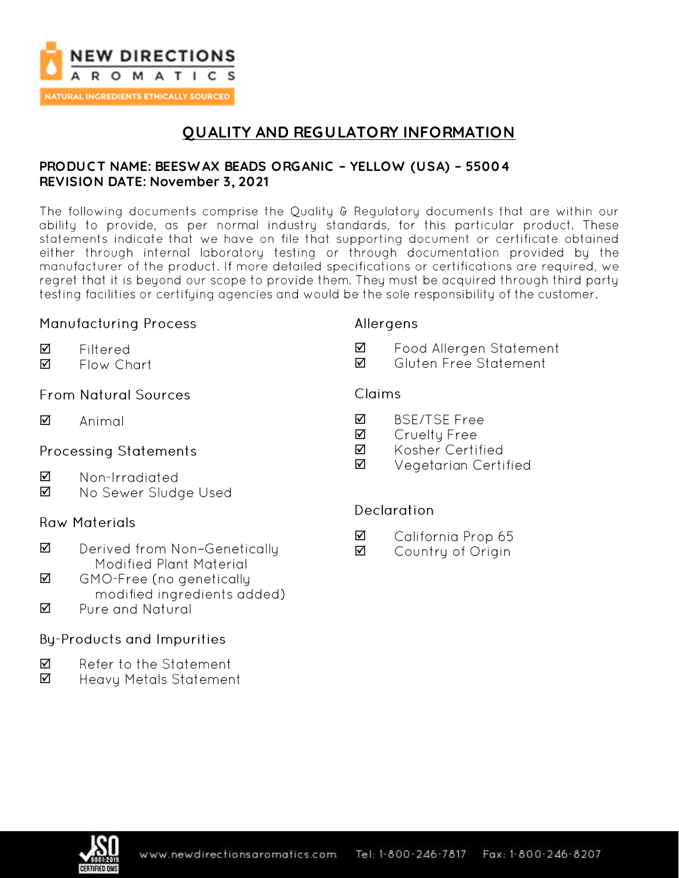

**NATURAL INGREDIENTS ETHICALLY SOURCED** 

# **QUALITY AND REGULATORY INFORMATION**

### **PRODUC T NAME: BEESW AX BEADS ORGANIC – YELLOW (USA) – 55004 REVISION DATE: November 3, 2021**

The following documents comprise the Quality & Regulatory documents that are within our ability to provide, as per normal industry standards, for this particular product. These statements indicate that we have on file that supporting document or certificate obtained either through internal laboratory testing or through documentation provided by the manufacturer of the product. If more detailed specifications or certifications are required, we regret that it is beyond our scope to provide them. They must be acquired through third party testing facilities or certifying agencies and would be the sole responsibility of the customer.

### **Manufacturing Process**

Filtered

# Allergens

- ☑ Food Allergen Statement
	- ☑ Gluten Free Statement

# **From Natural Sources**

Flow Chart

 $\triangledown$ Animal

☑ ☑

## **Processing Statements**

- ☑ Non-Irradiated
- ☑ No Sewer Sludge Used

## **Raw Materials**

- $\triangledown$ Derived from Non-Genetically Modified Plant Material
- ☑ GMO-Free (no genetically modified ingredients added)
- Pure and Natural ☑

# **By-Products and Impurities**

- ☑ Refer to the Statement
- ☑ Heavy Metals Statement

# Claims

- ☑ **BSE/TSE Free**
- ☑ Cruelty Free
- ☑ Kosher Certified
- ☑ Vegetarian Certified

## **Declaration**

- ☑ California Prop 65
- ☑ Country of Origin

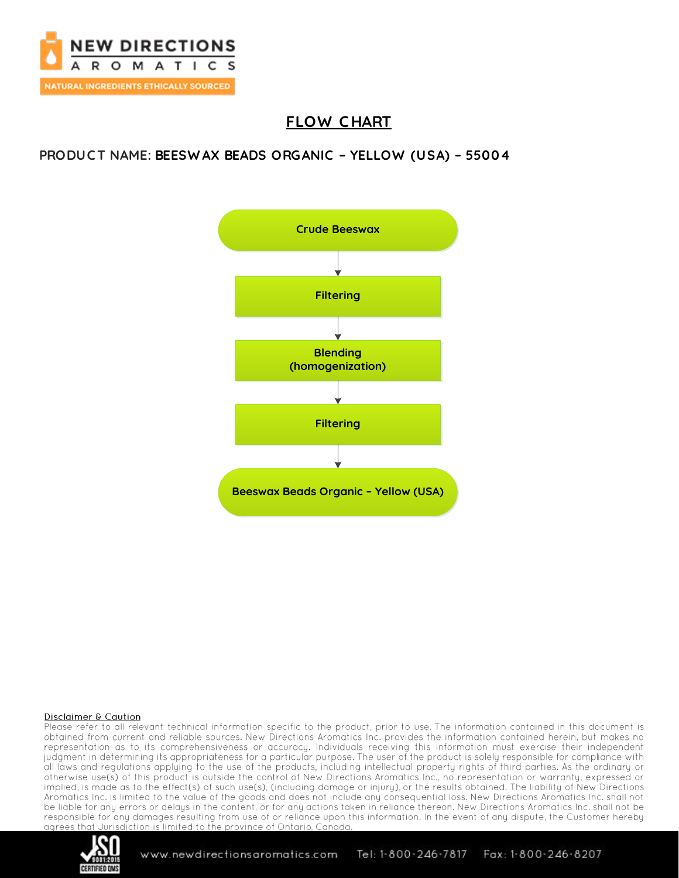

# **FLOW C HART**

## **PRODUC T NAME: BEESW AX BEADS ORGANIC – YELLOW (USA) – 55004**



#### **Disclaimer & Caution**

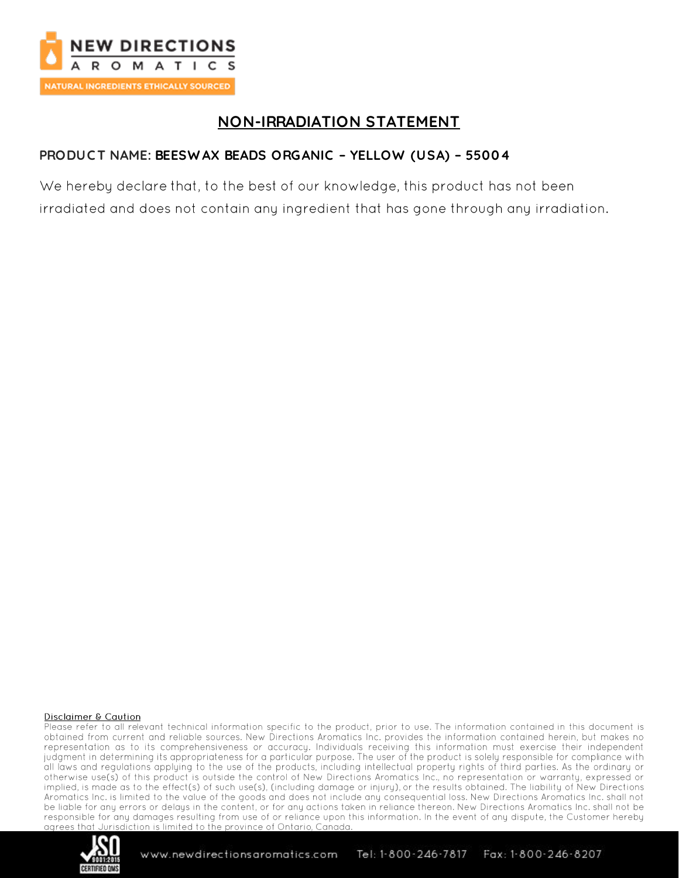

# **NON-IRRADIATION STATEMENT**

# PRODUCT NAME: BEESWAX BEADS ORGANIC - YELLOW (USA) - 55004

We hereby declare that, to the best of our knowledge, this product has not been irradiated and does not contain any ingredient that has gone through any irradiation.

#### **Disclaimer & Caution**

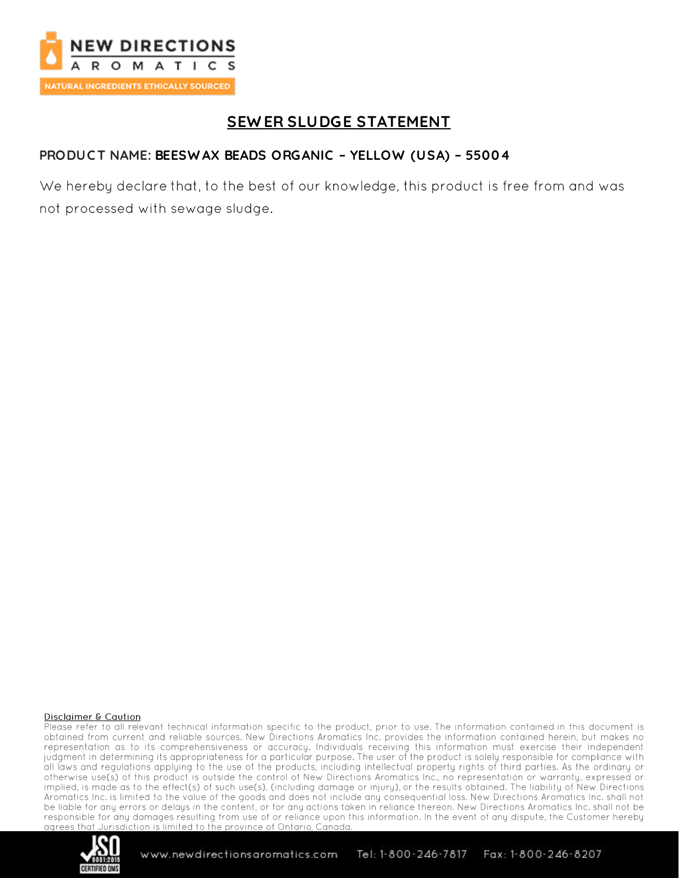

# **SEWER SLUDGE STATEMENT**

## PRODUCT NAME: BEESWAX BEADS ORGANIC - YELLOW (USA) - 55004

We hereby declare that, to the best of our knowledge, this product is free from and was not processed with sewage sludge.

#### **Disclaimer & Caution**

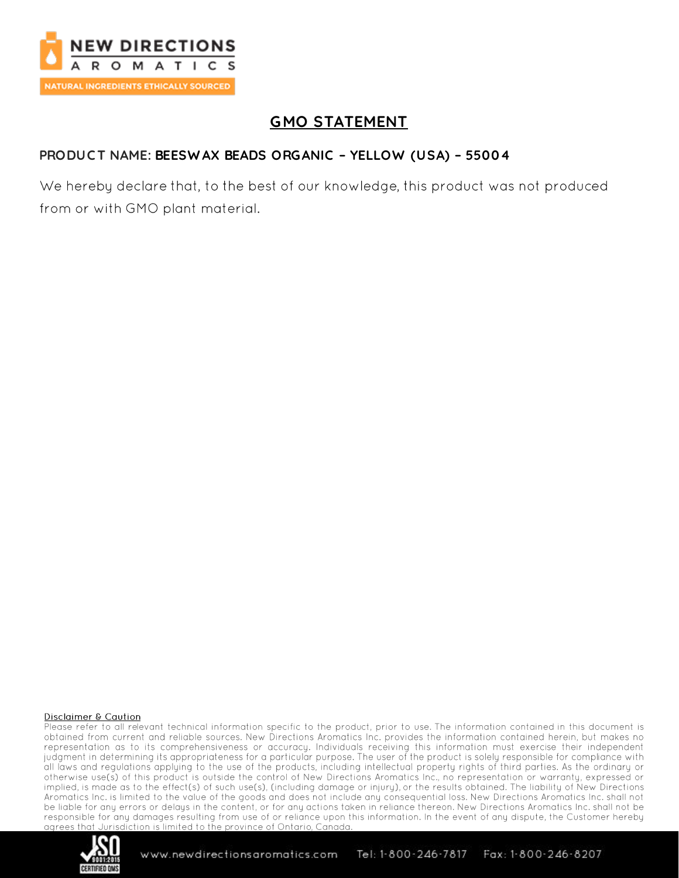

# **GMO STATEMENT**

# PRODUCT NAME: BEESWAX BEADS ORGANIC - YELLOW (USA) - 55004

We hereby declare that, to the best of our knowledge, this product was not produced from or with GMO plant material.

#### **Disclaimer & Caution**

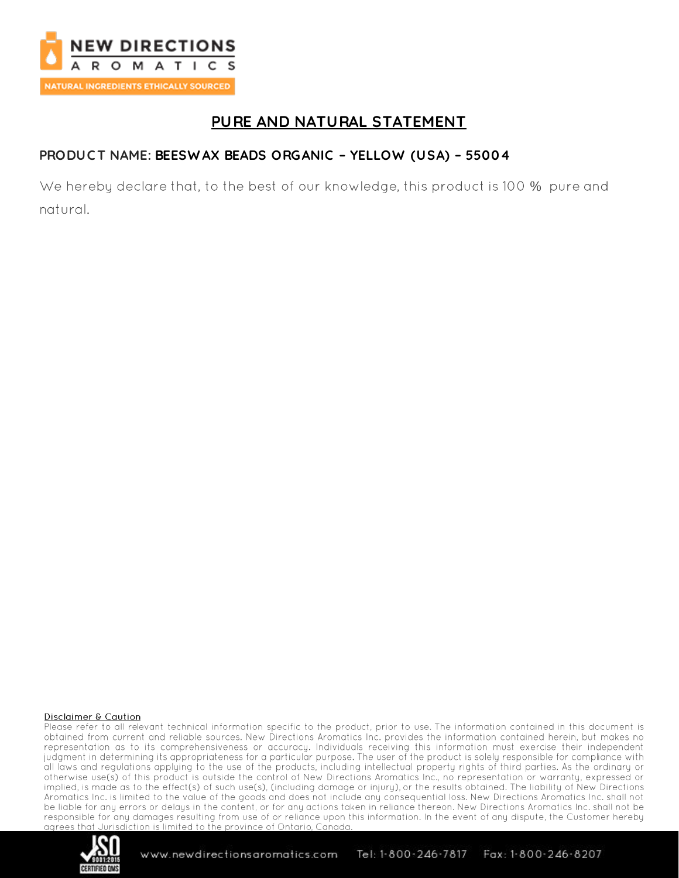

# PURE AND NATURAL STATEMENT

# PRODUCT NAME: BEESWAX BEADS ORGANIC - YELLOW (USA) - 55004

We hereby declare that, to the best of our knowledge, this product is 100 % pure and natural.

#### **Disclaimer & Caution**

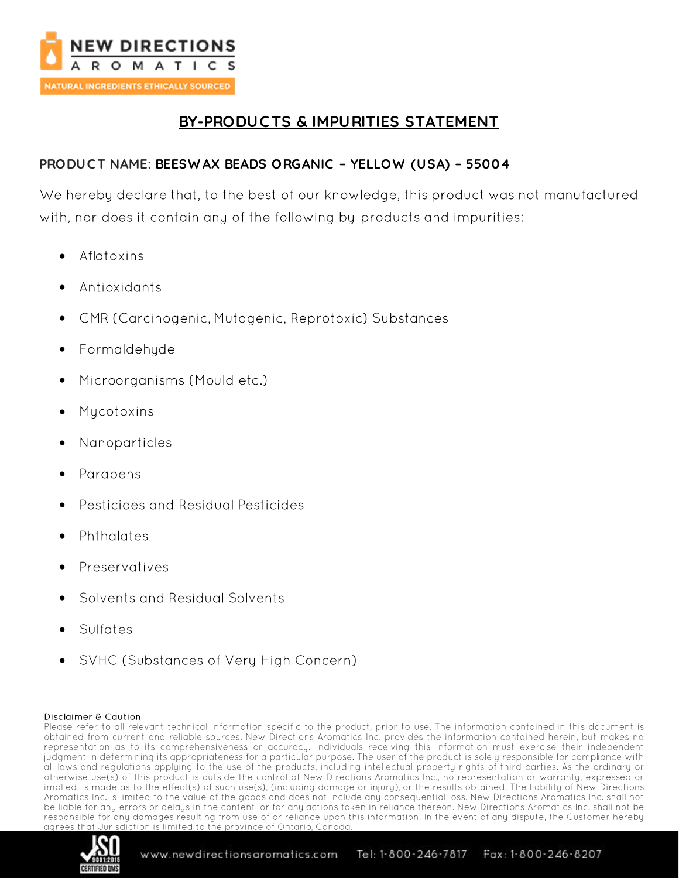

# **BY-PRODUC TS & IMPURITIES STATEMENT**

## **PRODUC T NAME: BEESW AX BEADS ORGANIC – YELLOW (USA) – 55004**

We hereby declare that, to the best of our knowledge, this product was not manufactured with, nor does it contain any of the following by-products and impurities:

- Aflatoxins •
- Antioxidants
- CMR (Carcinogenic, Mutagenic, Reprotoxic) Substances •
- Formaldehyde
- Microorganisms (Mould etc.) •
- Mycotoxins
- Nanoparticles •
- Parabens
- **Pesticides and Residual Pesticides**
- Phthalates
- Preservatives
- Solvents and Residual Solvents
- Sulfates
- SVHC (Substances of Very High Concern) •

#### Disclaimer & Caution

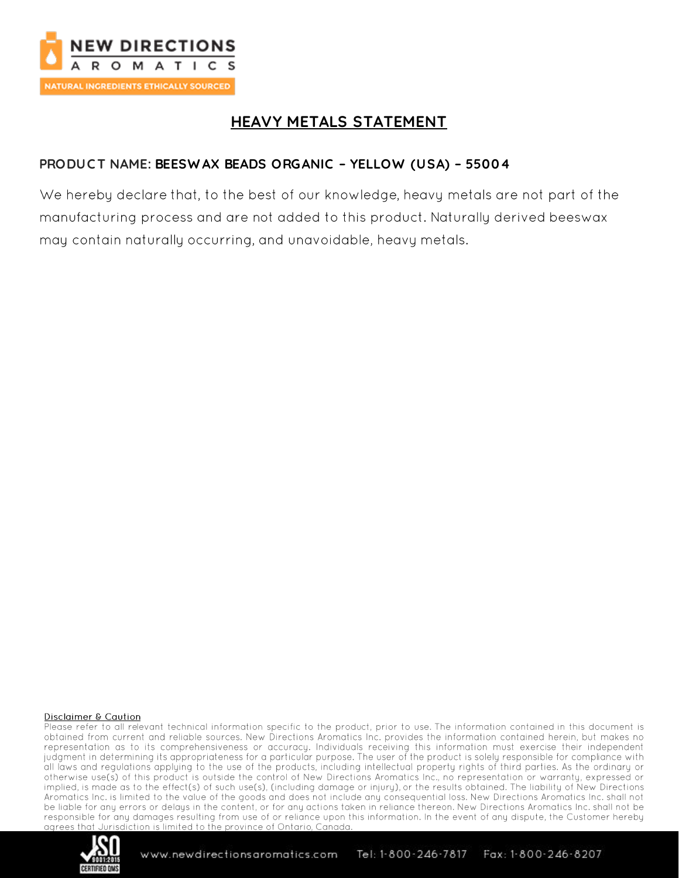

# **HEAVY METALS STATEMENT**

## PRODUCT NAME: BEESWAX BEADS ORGANIC - YELLOW (USA) - 55004

We hereby declare that, to the best of our knowledge, heavy metals are not part of the manufacturing process and are not added to this product. Naturally derived beeswax may contain naturally occurring, and unavoidable, heavy metals.

#### **Disclaimer & Caution**

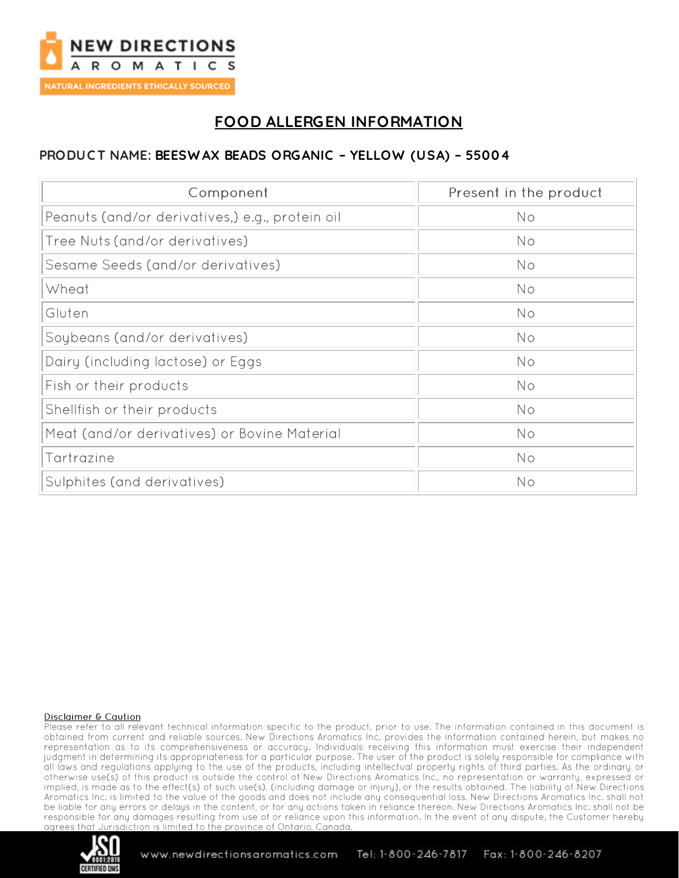

# **FOOD ALLERGEN INFORMATION**

## PRODUCT NAME: BEESWAX BEADS ORGANIC - YELLOW (USA) - 55004

| Component                                       | Present in the product |
|-------------------------------------------------|------------------------|
| Peanuts (and/or derivatives,) e.g., protein oil | No                     |
| Tree Nuts (and/or derivatives)                  | No                     |
| Sesame Seeds (and/or derivatives)               | No                     |
| Wheat                                           | No                     |
| Gluten                                          | No                     |
| Soybeans (and/or derivatives)                   | No                     |
| Dairy (including lactose) or Eggs               | No                     |
| Fish or their products                          | No                     |
| Shellfish or their products                     | No                     |
| Meat (and/or derivatives) or Bovine Material    | No                     |
| Tartrazine                                      | No                     |
| Sulphites (and derivatives)                     | No                     |

#### **Disclaimer & Caution**

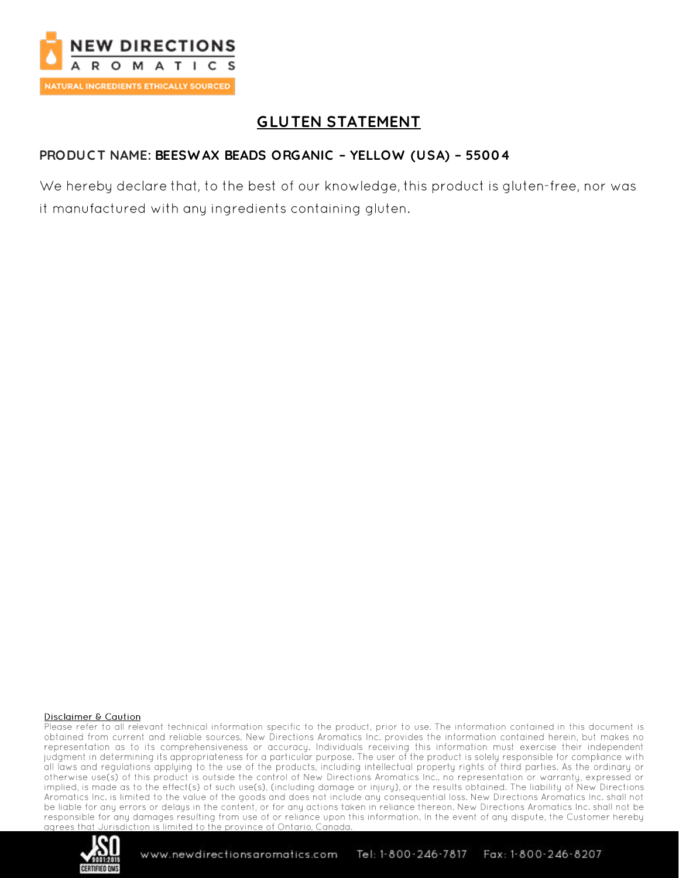

# **GLUTEN STATEMENT**

# PRODUCT NAME: BEESWAX BEADS ORGANIC - YELLOW (USA) - 55004

We hereby declare that, to the best of our knowledge, this product is gluten-free, nor was it manufactured with any ingredients containing gluten.

#### **Disclaimer & Caution**

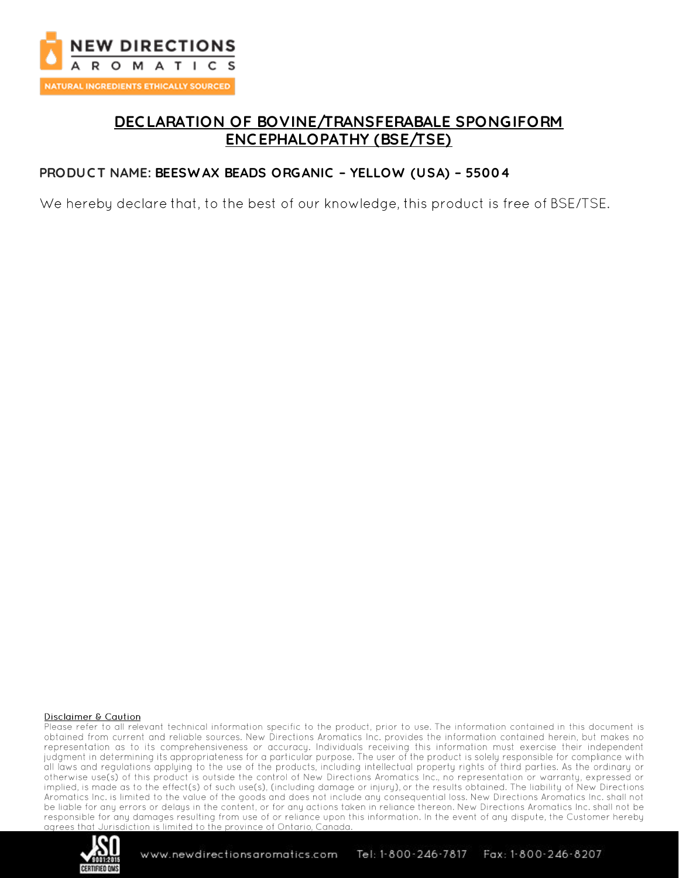

# **DEC LARATION OF BOVINE/TRANSFERABALE SPONGIFORM ENC EPHALOPATHY (BSE/TSE)**

### **PRODUC T NAME: BEESW AX BEADS ORGANIC – YELLOW (USA) – 55004**

We hereby declare that, to the best of our knowledge, this product is free of BSE/TSE.

#### **Disclaimer & Caution**

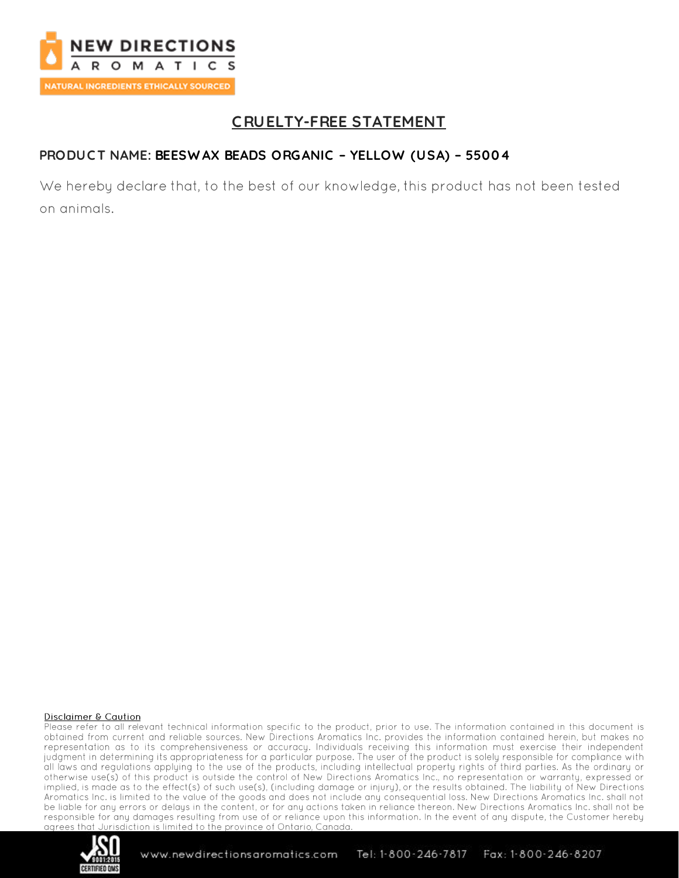

# **CRUELTY-FREE STATEMENT**

# PRODUCT NAME: BEESWAX BEADS ORGANIC - YELLOW (USA) - 55004

We hereby declare that, to the best of our knowledge, this product has not been tested on animals.

#### **Disclaimer & Caution**

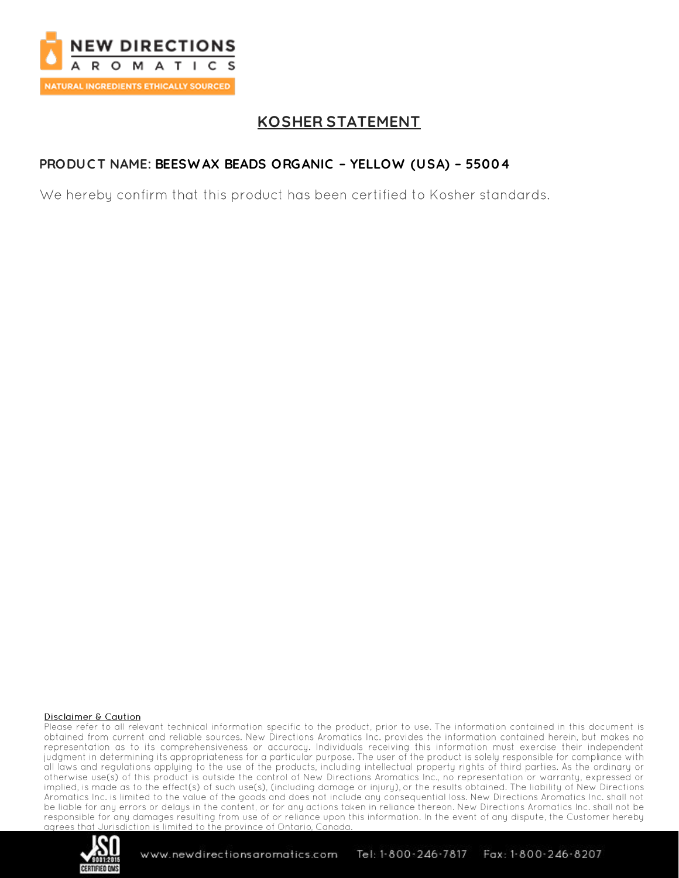

# **KOSHER STATEMENT**

# PRODUCT NAME: BEESWAX BEADS ORGANIC - YELLOW (USA) - 55004

We hereby confirm that this product has been certified to Kosher standards.

#### **Disclaimer & Caution**

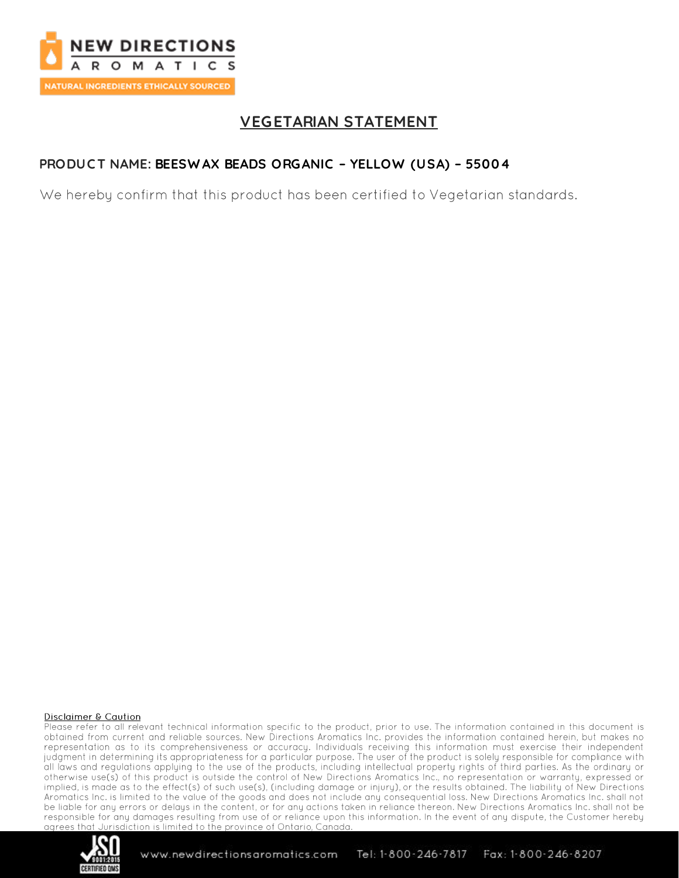

# **VEGETARIAN STATEMENT**

# PRODUCT NAME: BEESWAX BEADS ORGANIC - YELLOW (USA) - 55004

We hereby confirm that this product has been certified to Vegetarian standards.

#### **Disclaimer & Caution**

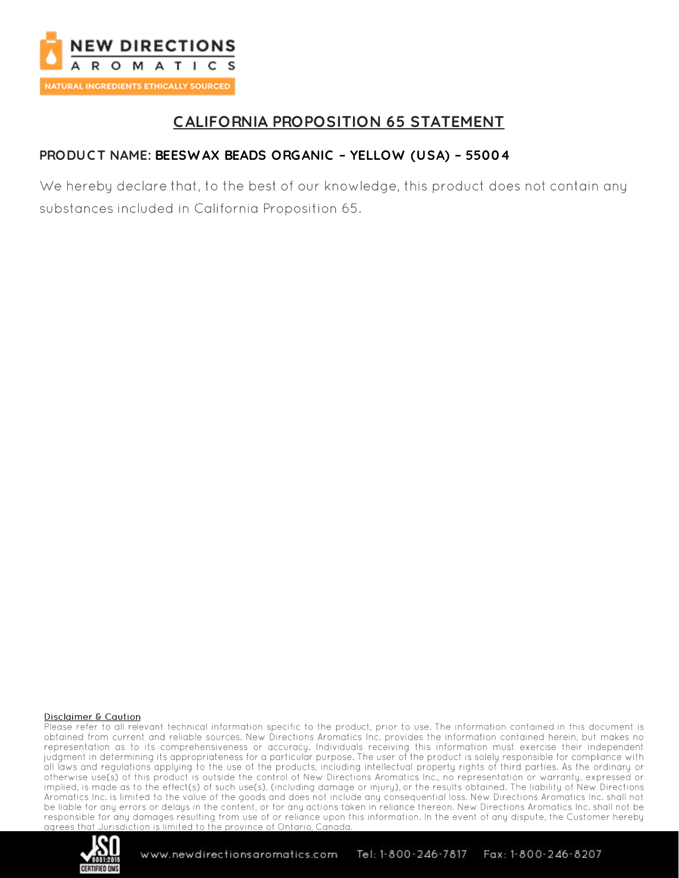

# **CALIFORNIA PROPOSITION 65 STATEMENT**

## PRODUCT NAME: BEESWAX BEADS ORGANIC - YELLOW (USA) - 55004

We hereby declare that, to the best of our knowledge, this product does not contain any substances included in California Proposition 65.

#### **Disclaimer & Caution**